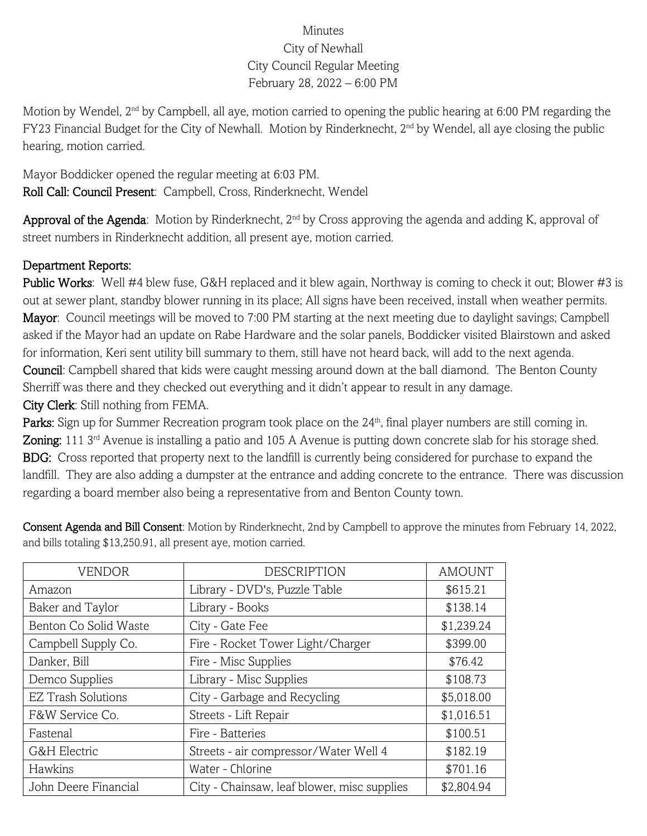## Minutes City of Newhall City Council Regular Meeting February 28, 2022 – 6:00 PM

Motion by Wendel, 2<sup>nd</sup> by Campbell, all aye, motion carried to opening the public hearing at 6:00 PM regarding the FY23 Financial Budget for the City of Newhall. Motion by Rinderknecht, 2<sup>nd</sup> by Wendel, all aye closing the public hearing, motion carried.

Mayor Boddicker opened the regular meeting at 6:03 PM. Roll Call: Council Present: Campbell, Cross, Rinderknecht, Wendel

Approval of the Agenda: Motion by Rinderknecht,  $2<sup>nd</sup>$  by Cross approving the agenda and adding K, approval of street numbers in Rinderknecht addition, all present aye, motion carried.

## Department Reports:

Public Works: Well #4 blew fuse, G&H replaced and it blew again, Northway is coming to check it out; Blower #3 is out at sewer plant, standby blower running in its place; All signs have been received, install when weather permits. Mayor: Council meetings will be moved to 7:00 PM starting at the next meeting due to daylight savings; Campbell asked if the Mayor had an update on Rabe Hardware and the solar panels, Boddicker visited Blairstown and asked for information, Keri sent utility bill summary to them, still have not heard back, will add to the next agenda. Council: Campbell shared that kids were caught messing around down at the ball diamond. The Benton County Sherriff was there and they checked out everything and it didn't appear to result in any damage. City Clerk: Still nothing from FEMA.

Parks: Sign up for Summer Recreation program took place on the 24<sup>th</sup>, final player numbers are still coming in. Zoning: 111 3<sup>rd</sup> Avenue is installing a patio and 105 A Avenue is putting down concrete slab for his storage shed. BDG: Cross reported that property next to the landfill is currently being considered for purchase to expand the landfill. They are also adding a dumpster at the entrance and adding concrete to the entrance. There was discussion regarding a board member also being a representative from and Benton County town.

| <b>VENDOR</b>             | <b>DESCRIPTION</b>                          | <b>AMOUNT</b> |
|---------------------------|---------------------------------------------|---------------|
| Amazon                    | Library - DVD's, Puzzle Table               | \$615.21      |
| Baker and Taylor          | Library - Books                             | \$138.14      |
| Benton Co Solid Waste     | City - Gate Fee                             | \$1,239.24    |
| Campbell Supply Co.       | Fire - Rocket Tower Light/Charger           | \$399.00      |
| Danker, Bill              | Fire - Misc Supplies                        | \$76.42       |
| Demco Supplies            | Library - Misc Supplies                     | \$108.73      |
| <b>EZ Trash Solutions</b> | City - Garbage and Recycling                | \$5,018.00    |
| F&W Service Co.           | Streets - Lift Repair                       | \$1,016.51    |
| Fastenal                  | Fire - Batteries                            | \$100.51      |
| G&H Electric              | Streets - air compressor/Water Well 4       | \$182.19      |
| Hawkins                   | Water - Chlorine                            | \$701.16      |
| John Deere Financial      | City - Chainsaw, leaf blower, misc supplies | \$2,804.94    |

Consent Agenda and Bill Consent: Motion by Rinderknecht, 2nd by Campbell to approve the minutes from February 14, 2022, and bills totaling \$13,250.91, all present aye, motion carried.